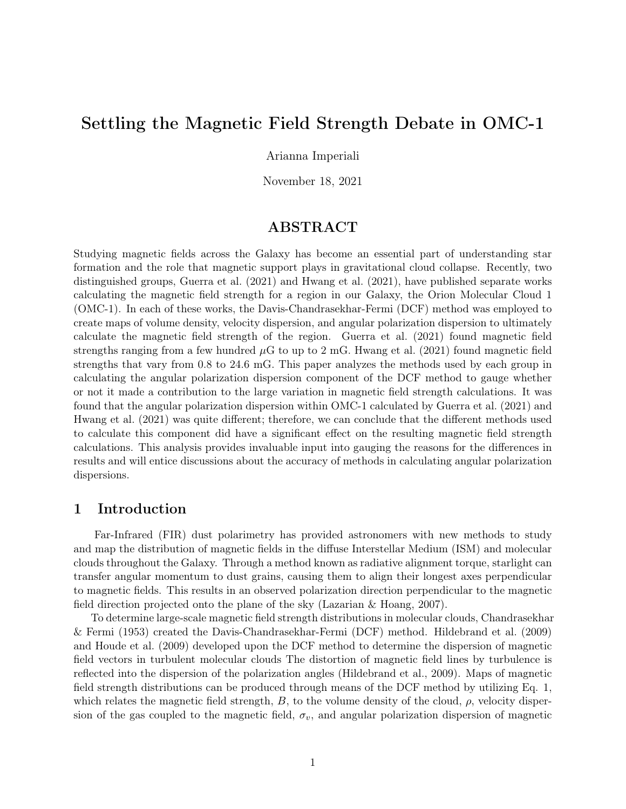# Settling the Magnetic Field Strength Debate in OMC-1

### Arianna Imperiali

November 18, 2021

# ABSTRACT

Studying magnetic fields across the Galaxy has become an essential part of understanding star formation and the role that magnetic support plays in gravitational cloud collapse. Recently, two distinguished groups, Guerra et al. (2021) and Hwang et al. (2021), have published separate works calculating the magnetic field strength for a region in our Galaxy, the Orion Molecular Cloud 1 (OMC-1). In each of these works, the Davis-Chandrasekhar-Fermi (DCF) method was employed to create maps of volume density, velocity dispersion, and angular polarization dispersion to ultimately calculate the magnetic field strength of the region. Guerra et al. (2021) found magnetic field strengths ranging from a few hundred  $\mu$ G to up to 2 mG. Hwang et al. (2021) found magnetic field strengths that vary from 0.8 to 24.6 mG. This paper analyzes the methods used by each group in calculating the angular polarization dispersion component of the DCF method to gauge whether or not it made a contribution to the large variation in magnetic field strength calculations. It was found that the angular polarization dispersion within OMC-1 calculated by Guerra et al. (2021) and Hwang et al. (2021) was quite different; therefore, we can conclude that the different methods used to calculate this component did have a significant effect on the resulting magnetic field strength calculations. This analysis provides invaluable input into gauging the reasons for the differences in results and will entice discussions about the accuracy of methods in calculating angular polarization dispersions.

# 1 Introduction

Far-Infrared (FIR) dust polarimetry has provided astronomers with new methods to study and map the distribution of magnetic fields in the diffuse Interstellar Medium (ISM) and molecular clouds throughout the Galaxy. Through a method known as radiative alignment torque, starlight can transfer angular momentum to dust grains, causing them to align their longest axes perpendicular to magnetic fields. This results in an observed polarization direction perpendicular to the magnetic field direction projected onto the plane of the sky (Lazarian & Hoang, 2007).

To determine large-scale magnetic field strength distributions in molecular clouds, Chandrasekhar & Fermi (1953) created the Davis-Chandrasekhar-Fermi (DCF) method. Hildebrand et al. (2009) and Houde et al. (2009) developed upon the DCF method to determine the dispersion of magnetic field vectors in turbulent molecular clouds The distortion of magnetic field lines by turbulence is reflected into the dispersion of the polarization angles (Hildebrand et al., 2009). Maps of magnetic field strength distributions can be produced through means of the DCF method by utilizing Eq. 1, which relates the magnetic field strength,  $B$ , to the volume density of the cloud,  $\rho$ , velocity dispersion of the gas coupled to the magnetic field,  $\sigma_v$ , and angular polarization dispersion of magnetic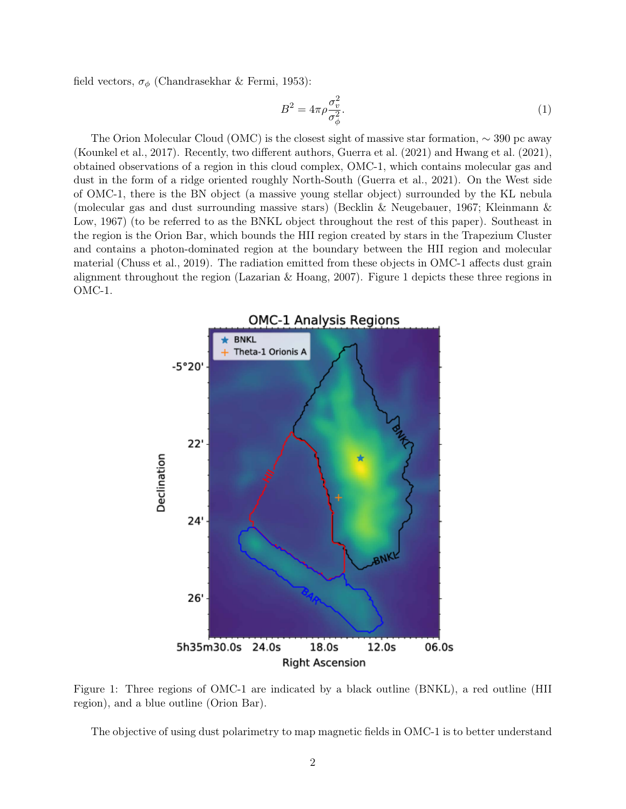field vectors,  $\sigma_{\phi}$  (Chandrasekhar & Fermi, 1953):

$$
B^2 = 4\pi \rho \frac{\sigma_v^2}{\sigma_\phi^2}.\tag{1}
$$

The Orion Molecular Cloud (OMC) is the closest sight of massive star formation, ∼ 390 pc away (Kounkel et al., 2017). Recently, two different authors, Guerra et al. (2021) and Hwang et al. (2021), obtained observations of a region in this cloud complex, OMC-1, which contains molecular gas and dust in the form of a ridge oriented roughly North-South (Guerra et al., 2021). On the West side of OMC-1, there is the BN object (a massive young stellar object) surrounded by the KL nebula (molecular gas and dust surrounding massive stars) (Becklin & Neugebauer, 1967; Kleinmann & Low, 1967) (to be referred to as the BNKL object throughout the rest of this paper). Southeast in the region is the Orion Bar, which bounds the HII region created by stars in the Trapezium Cluster and contains a photon-dominated region at the boundary between the HII region and molecular material (Chuss et al., 2019). The radiation emitted from these objects in OMC-1 affects dust grain alignment throughout the region (Lazarian & Hoang, 2007). Figure 1 depicts these three regions in OMC-1.



Figure 1: Three regions of OMC-1 are indicated by a black outline (BNKL), a red outline (HII region), and a blue outline (Orion Bar).

The objective of using dust polarimetry to map magnetic fields in OMC-1 is to better understand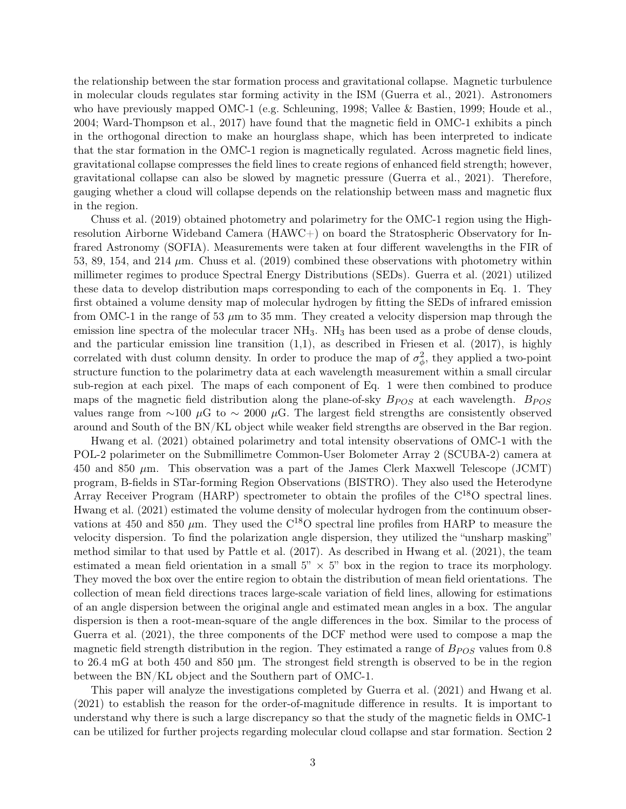the relationship between the star formation process and gravitational collapse. Magnetic turbulence in molecular clouds regulates star forming activity in the ISM (Guerra et al., 2021). Astronomers who have previously mapped OMC-1 (e.g. Schleuning, 1998; Vallee & Bastien, 1999; Houde et al., 2004; Ward-Thompson et al., 2017) have found that the magnetic field in OMC-1 exhibits a pinch in the orthogonal direction to make an hourglass shape, which has been interpreted to indicate that the star formation in the OMC-1 region is magnetically regulated. Across magnetic field lines, gravitational collapse compresses the field lines to create regions of enhanced field strength; however, gravitational collapse can also be slowed by magnetic pressure (Guerra et al., 2021). Therefore, gauging whether a cloud will collapse depends on the relationship between mass and magnetic flux in the region.

Chuss et al. (2019) obtained photometry and polarimetry for the OMC-1 region using the Highresolution Airborne Wideband Camera (HAWC+) on board the Stratospheric Observatory for Infrared Astronomy (SOFIA). Measurements were taken at four different wavelengths in the FIR of 53, 89, 154, and 214  $\mu$ m. Chuss et al. (2019) combined these observations with photometry within millimeter regimes to produce Spectral Energy Distributions (SEDs). Guerra et al. (2021) utilized these data to develop distribution maps corresponding to each of the components in Eq. 1. They first obtained a volume density map of molecular hydrogen by fitting the SEDs of infrared emission from OMC-1 in the range of 53  $\mu$ m to 35 mm. They created a velocity dispersion map through the emission line spectra of the molecular tracer  $NH_3$ . NH<sub>3</sub> has been used as a probe of dense clouds. and the particular emission line transition  $(1,1)$ , as described in Friesen et al.  $(2017)$ , is highly correlated with dust column density. In order to produce the map of  $\sigma_{\phi}^2$ , they applied a two-point structure function to the polarimetry data at each wavelength measurement within a small circular sub-region at each pixel. The maps of each component of Eq. 1 were then combined to produce maps of the magnetic field distribution along the plane-of-sky  $B_{POS}$  at each wavelength.  $B_{POS}$ values range from ∼100  $\mu$ G to ~ 2000  $\mu$ G. The largest field strengths are consistently observed around and South of the BN/KL object while weaker field strengths are observed in the Bar region.

Hwang et al. (2021) obtained polarimetry and total intensity observations of OMC-1 with the POL-2 polarimeter on the Submillimetre Common-User Bolometer Array 2 (SCUBA-2) camera at 450 and 850  $\mu$ m. This observation was a part of the James Clerk Maxwell Telescope (JCMT) program, B-fields in STar-forming Region Observations (BISTRO). They also used the Heterodyne Array Receiver Program (HARP) spectrometer to obtain the profiles of the C18O spectral lines. Hwang et al. (2021) estimated the volume density of molecular hydrogen from the continuum observations at 450 and 850  $\mu$ m. They used the C<sup>18</sup>O spectral line profiles from HARP to measure the velocity dispersion. To find the polarization angle dispersion, they utilized the "unsharp masking" method similar to that used by Pattle et al. (2017). As described in Hwang et al. (2021), the team estimated a mean field orientation in a small  $5" \times 5"$  box in the region to trace its morphology. They moved the box over the entire region to obtain the distribution of mean field orientations. The collection of mean field directions traces large-scale variation of field lines, allowing for estimations of an angle dispersion between the original angle and estimated mean angles in a box. The angular dispersion is then a root-mean-square of the angle differences in the box. Similar to the process of Guerra et al. (2021), the three components of the DCF method were used to compose a map the magnetic field strength distribution in the region. They estimated a range of  $B_{POS}$  values from 0.8 to 26.4 mG at both 450 and 850 µm. The strongest field strength is observed to be in the region between the BN/KL object and the Southern part of OMC-1.

This paper will analyze the investigations completed by Guerra et al. (2021) and Hwang et al. (2021) to establish the reason for the order-of-magnitude difference in results. It is important to understand why there is such a large discrepancy so that the study of the magnetic fields in OMC-1 can be utilized for further projects regarding molecular cloud collapse and star formation. Section 2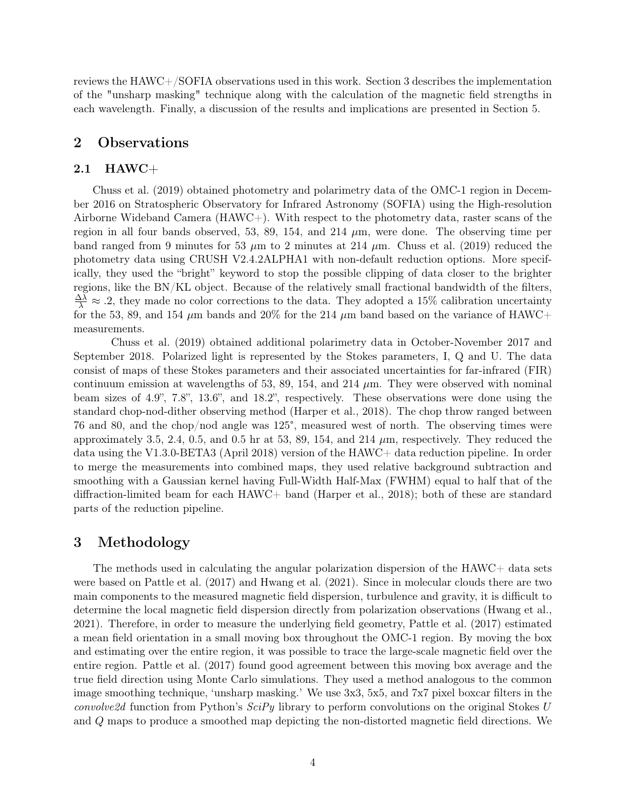reviews the HAWC+/SOFIA observations used in this work. Section 3 describes the implementation of the "unsharp masking" technique along with the calculation of the magnetic field strengths in each wavelength. Finally, a discussion of the results and implications are presented in Section 5.

# 2 Observations

#### 2.1 HAWC+

Chuss et al. (2019) obtained photometry and polarimetry data of the OMC-1 region in December 2016 on Stratospheric Observatory for Infrared Astronomy (SOFIA) using the High-resolution Airborne Wideband Camera (HAWC+). With respect to the photometry data, raster scans of the region in all four bands observed, 53, 89, 154, and 214  $\mu$ m, were done. The observing time per band ranged from 9 minutes for 53  $\mu$ m to 2 minutes at 214  $\mu$ m. Chuss et al. (2019) reduced the photometry data using CRUSH V2.4.2ALPHA1 with non-default reduction options. More specifically, they used the "bright" keyword to stop the possible clipping of data closer to the brighter regions, like the BN/KL object. Because of the relatively small fractional bandwidth of the filters,  $\frac{\Delta\lambda}{\lambda} \approx .2$ , they made no color corrections to the data. They adopted a 15% calibration uncertainty for the 53, 89, and 154  $\mu$ m bands and 20% for the 214  $\mu$ m band based on the variance of HAWC+ measurements.

Chuss et al. (2019) obtained additional polarimetry data in October-November 2017 and September 2018. Polarized light is represented by the Stokes parameters, I, Q and U. The data consist of maps of these Stokes parameters and their associated uncertainties for far-infrared (FIR) continuum emission at wavelengths of 53, 89, 154, and 214  $\mu$ m. They were observed with nominal beam sizes of 4.9", 7.8", 13.6", and 18.2", respectively. These observations were done using the standard chop-nod-dither observing method (Harper et al., 2018). The chop throw ranged between 76 and 80, and the chop/nod angle was 125°, measured west of north. The observing times were approximately 3.5, 2.4, 0.5, and 0.5 hr at 53, 89, 154, and 214  $\mu$ m, respectively. They reduced the data using the V1.3.0-BETA3 (April 2018) version of the HAWC+ data reduction pipeline. In order to merge the measurements into combined maps, they used relative background subtraction and smoothing with a Gaussian kernel having Full-Width Half-Max (FWHM) equal to half that of the diffraction-limited beam for each HAWC+ band (Harper et al., 2018); both of these are standard parts of the reduction pipeline.

### 3 Methodology

The methods used in calculating the angular polarization dispersion of the HAWC+ data sets were based on Pattle et al. (2017) and Hwang et al. (2021). Since in molecular clouds there are two main components to the measured magnetic field dispersion, turbulence and gravity, it is difficult to determine the local magnetic field dispersion directly from polarization observations (Hwang et al., 2021). Therefore, in order to measure the underlying field geometry, Pattle et al. (2017) estimated a mean field orientation in a small moving box throughout the OMC-1 region. By moving the box and estimating over the entire region, it was possible to trace the large-scale magnetic field over the entire region. Pattle et al. (2017) found good agreement between this moving box average and the true field direction using Monte Carlo simulations. They used a method analogous to the common image smoothing technique, 'unsharp masking.' We use 3x3, 5x5, and 7x7 pixel boxcar filters in the *convolve2d* function from Python's  $SciPy$  library to perform convolutions on the original Stokes U and Q maps to produce a smoothed map depicting the non-distorted magnetic field directions. We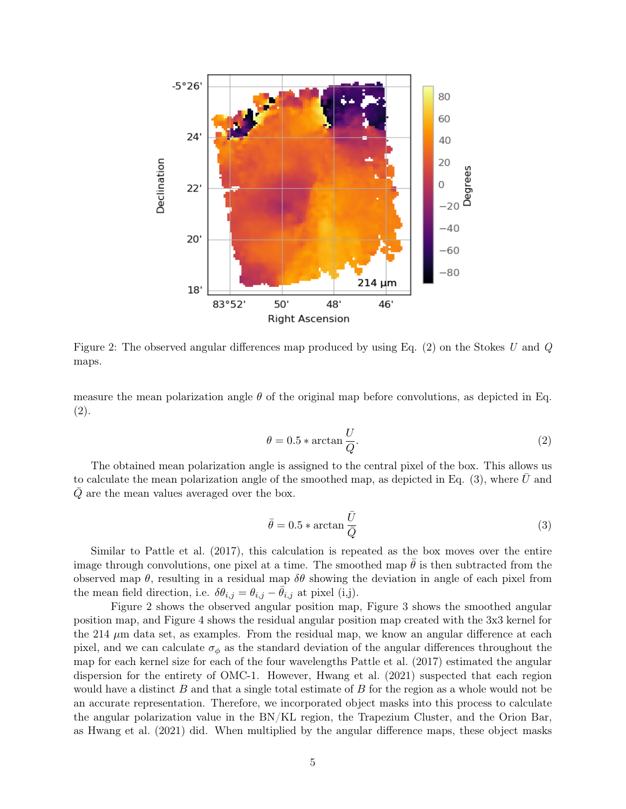

Figure 2: The observed angular differences map produced by using Eq.  $(2)$  on the Stokes U and Q maps.

measure the mean polarization angle  $\theta$  of the original map before convolutions, as depicted in Eq. (2).

$$
\theta = 0.5 * \arctan \frac{U}{Q}.\tag{2}
$$

The obtained mean polarization angle is assigned to the central pixel of the box. This allows us to calculate the mean polarization angle of the smoothed map, as depicted in Eq.  $(3)$ , where U and  $Q$  are the mean values averaged over the box.

$$
\bar{\theta} = 0.5 * \arctan \frac{\bar{U}}{\bar{Q}}
$$
 (3)

Similar to Pattle et al. (2017), this calculation is repeated as the box moves over the entire image through convolutions, one pixel at a time. The smoothed map  $\theta$  is then subtracted from the observed map  $\theta$ , resulting in a residual map  $\delta\theta$  showing the deviation in angle of each pixel from the mean field direction, i.e.  $\delta \theta_{i,j} = \theta_{i,j} - \bar{\theta}_{i,j}$  at pixel (i,j).

Figure 2 shows the observed angular position map, Figure 3 shows the smoothed angular position map, and Figure 4 shows the residual angular position map created with the 3x3 kernel for the 214  $\mu$ m data set, as examples. From the residual map, we know an angular difference at each pixel, and we can calculate  $\sigma_{\phi}$  as the standard deviation of the angular differences throughout the map for each kernel size for each of the four wavelengths Pattle et al. (2017) estimated the angular dispersion for the entirety of OMC-1. However, Hwang et al. (2021) suspected that each region would have a distinct  $B$  and that a single total estimate of  $B$  for the region as a whole would not be an accurate representation. Therefore, we incorporated object masks into this process to calculate the angular polarization value in the BN/KL region, the Trapezium Cluster, and the Orion Bar, as Hwang et al. (2021) did. When multiplied by the angular difference maps, these object masks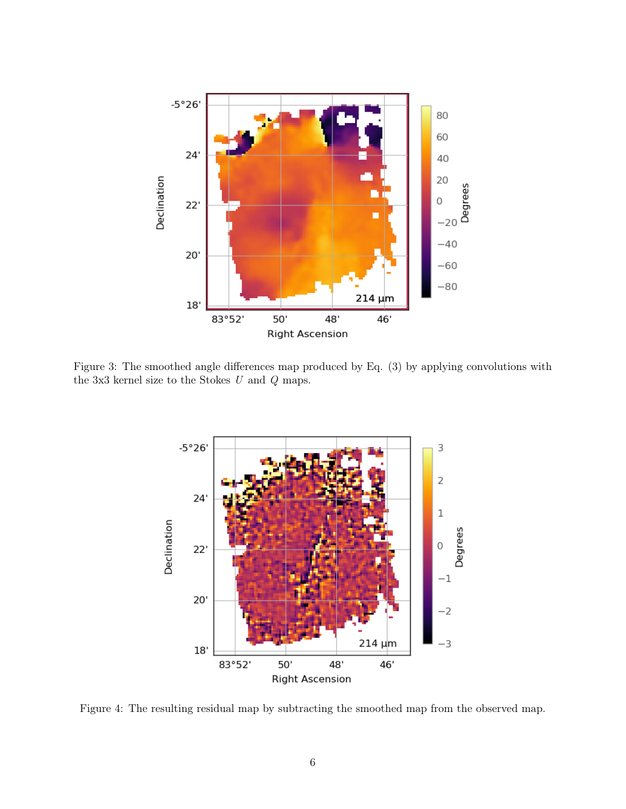

Figure 3: The smoothed angle differences map produced by Eq. (3) by applying convolutions with the 3x3 kernel size to the Stokes  $U$  and  $Q$  maps.



Figure 4: The resulting residual map by subtracting the smoothed map from the observed map.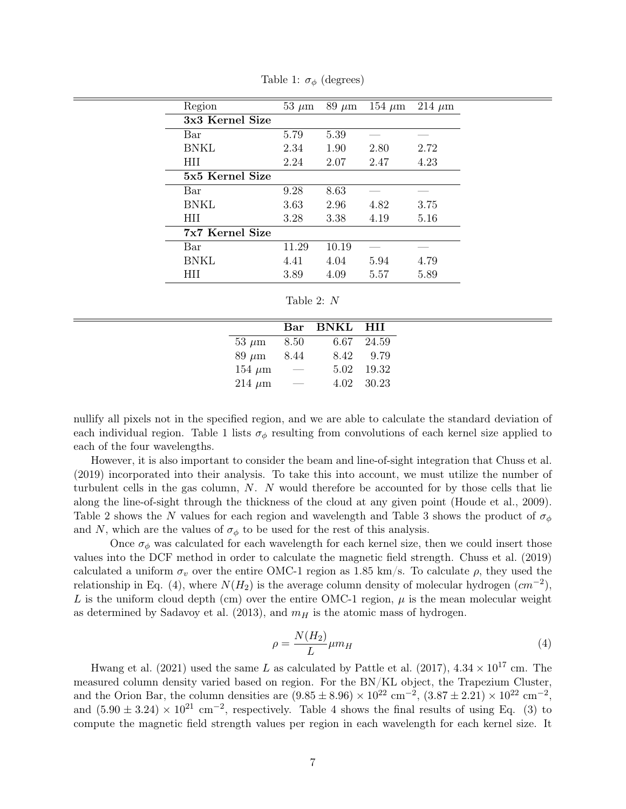| Region          | $53 \mu m$ | $89 \mu m$ | 154 $\mu$ m | 214 $\mu$ m |
|-----------------|------------|------------|-------------|-------------|
| 3x3 Kernel Size |            |            |             |             |
| Bar             | 5.79       | 5.39       |             |             |
| <b>BNKL</b>     | 2.34       | 1.90       | 2.80        | 2.72        |
| <b>HII</b>      | 2.24       | 2.07       | 2.47        | 4.23        |
| 5x5 Kernel Size |            |            |             |             |
| Bar             | 9.28       | 8.63       |             |             |
| <b>BNKL</b>     | 3.63       | 2.96       | 4.82        | 3.75        |
| <b>HII</b>      | 3.28       | 3.38       | 4.19        | 5.16        |
| 7x7 Kernel Size |            |            |             |             |
| Bar             | 11.29      | 10.19      |             |             |
| <b>BNKL</b>     | 4.41       | 4.04       | 5.94        | 4.79        |
| НH              | 3.89       | 4.09       | 5.57        | 5.89        |

Table 1:  $\sigma_{\phi}$  (degrees)

| Table 2: |  |  |
|----------|--|--|
|----------|--|--|

 $\equiv$ 

|                     |                                                                                                                   | Bar BNKL HII                     |            |
|---------------------|-------------------------------------------------------------------------------------------------------------------|----------------------------------|------------|
|                     |                                                                                                                   | $53 \mu m$ $8.50$ $6.67$ $24.59$ |            |
| $89 \ \mu m$ $8.44$ |                                                                                                                   |                                  | 8.42 9.79  |
| $154 \mu m$ —       |                                                                                                                   |                                  | 5.02 19.32 |
| $214 \mu m$         | $\mathcal{L}^{\mathcal{L}}(\mathcal{L}^{\mathcal{L}})$ and $\mathcal{L}^{\mathcal{L}}(\mathcal{L}^{\mathcal{L}})$ |                                  | 4.02 30.23 |

nullify all pixels not in the specified region, and we are able to calculate the standard deviation of each individual region. Table 1 lists  $\sigma_{\phi}$  resulting from convolutions of each kernel size applied to each of the four wavelengths.

However, it is also important to consider the beam and line-of-sight integration that Chuss et al. (2019) incorporated into their analysis. To take this into account, we must utilize the number of turbulent cells in the gas column, N. N would therefore be accounted for by those cells that lie along the line-of-sight through the thickness of the cloud at any given point (Houde et al., 2009). Table 2 shows the N values for each region and wavelength and Table 3 shows the product of  $\sigma_{\phi}$ and N, which are the values of  $\sigma_{\phi}$  to be used for the rest of this analysis.

Once  $\sigma_{\phi}$  was calculated for each wavelength for each kernel size, then we could insert those values into the DCF method in order to calculate the magnetic field strength. Chuss et al. (2019) calculated a uniform  $\sigma_v$  over the entire OMC-1 region as 1.85 km/s. To calculate  $\rho$ , they used the relationship in Eq. (4), where  $N(H_2)$  is the average column density of molecular hydrogen  $(cm^{-2})$ , L is the uniform cloud depth (cm) over the entire OMC-1 region,  $\mu$  is the mean molecular weight as determined by Sadavoy et al. (2013), and  $m_H$  is the atomic mass of hydrogen.

$$
\rho = \frac{N(H_2)}{L} \mu m_H \tag{4}
$$

Hwang et al. (2021) used the same L as calculated by Pattle et al. (2017),  $4.34 \times 10^{17}$  cm. The measured column density varied based on region. For the BN/KL object, the Trapezium Cluster, and the Orion Bar, the column densities are  $(9.85 \pm 8.96) \times 10^{22}$  cm<sup>-2</sup>,  $(3.87 \pm 2.21) \times 10^{22}$  cm<sup>-2</sup>, and  $(5.90 \pm 3.24) \times 10^{21}$  cm<sup>-2</sup>, respectively. Table 4 shows the final results of using Eq. (3) to compute the magnetic field strength values per region in each wavelength for each kernel size. It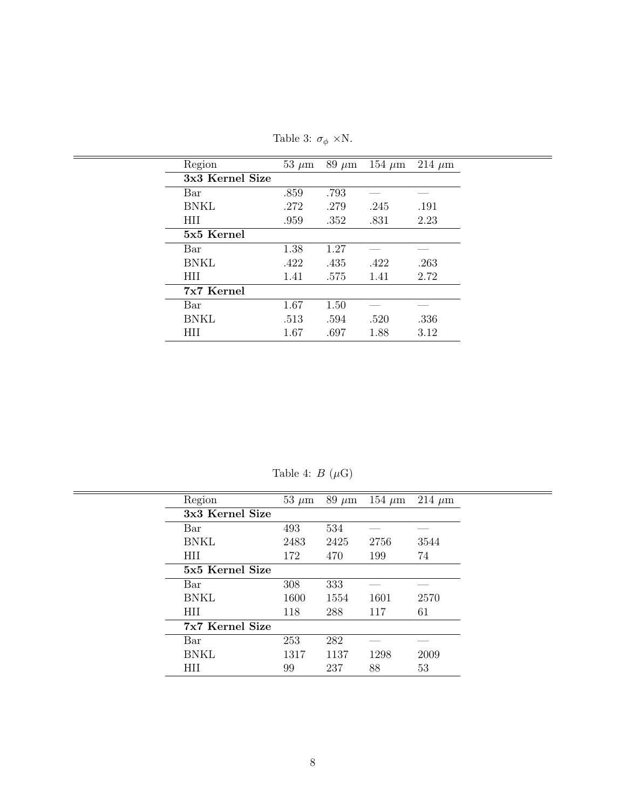| Region          | $53 \mu m$ | $89~\mu m$ | 154 $\mu$ m | $214 \ \mu m$ |  |
|-----------------|------------|------------|-------------|---------------|--|
| 3x3 Kernel Size |            |            |             |               |  |
| Bar             | .859       | .793       |             |               |  |
| <b>BNKL</b>     | .272       | .279       | .245        | .191          |  |
| <b>HII</b>      | .959       | .352       | .831        | 2.23          |  |
| 5x5 Kernel      |            |            |             |               |  |
| Bar             | 1.38       | 1.27       |             |               |  |
| <b>BNKL</b>     | .422       | .435       | .422        | .263          |  |
| <b>HII</b>      | 1.41       | .575       | 1.41        | 2.72          |  |
| 7x7 Kernel      |            |            |             |               |  |
| Bar             | 1.67       | 1.50       |             |               |  |
| <b>BNKL</b>     | .513       | .594       | .520        | .336          |  |
| <b>HII</b>      | 1.67       | .697       | 1.88        | 3.12          |  |
|                 |            |            |             |               |  |

Table 3:  $\sigma_{\phi}$  ×N.

J,

Table 4:  $B$   $(\mu {\rm G})$ 

| Region          | $53 \mu m$ | $89 \mu m$ | $154 \mu m$ | $214 \mu m$ |
|-----------------|------------|------------|-------------|-------------|
| 3x3 Kernel Size |            |            |             |             |
| Bar             | 493        | 534        |             |             |
| <b>BNKL</b>     | 2483       | 2425       | 2756        | 3544        |
| HII             | 172        | 470        | 199         | 74          |
| 5x5 Kernel Size |            |            |             |             |
| Bar             | 308        | 333        |             |             |
| <b>BNKL</b>     | 1600       | 1554       | 1601        | 2570        |
| <b>HII</b>      | 118        | 288        | 117         | 61          |
| 7x7 Kernel Size |            |            |             |             |
| Bar             | 253        | 282        |             |             |
| <b>BNKL</b>     | 1317       | 1137       | 1298        | 2009        |
| <b>HII</b>      | 99         | 237        | 88          | 53          |
|                 |            |            |             |             |

 $\equiv$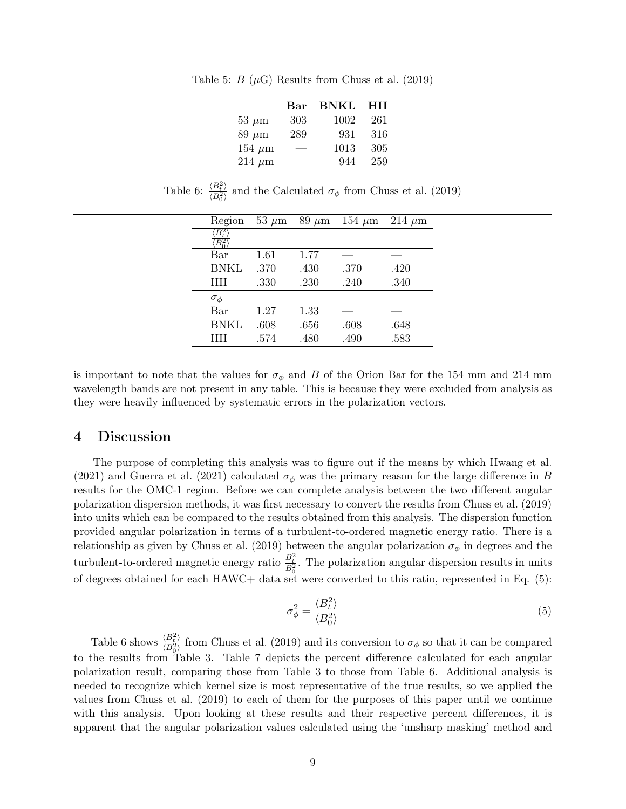Table 5:  $B(\mu G)$  Results from Chuss et al. (2019)

|               | Bar | <b>BNKL</b> | HП  |
|---------------|-----|-------------|-----|
| $53 \mu m$    | 303 | 1002        | 261 |
| $89 \mu m$    | 289 | 931         | 316 |
| $154 \ \mu m$ |     | 1013        | 305 |
| $214 \ \mu m$ |     | 944         | 259 |

| Region             | 53 $\mu$ m | $89 \mu m$ | 154 $\mu$ m | $214 \mu m$ |  |
|--------------------|------------|------------|-------------|-------------|--|
| $\overline{B^2_t}$ |            |            |             |             |  |
| $B_\alpha^2$ '     |            |            |             |             |  |
| Bar                | 1.61       | 1.77       |             |             |  |
| BNKL               | .370       | .430       | .370        | .420        |  |
| <b>HII</b>         | .330       | .230       | .240        | .340        |  |
| $\sigma_{\phi}$    |            |            |             |             |  |
| Bar                | 1.27       | 1.33       |             |             |  |
| <b>BNKL</b>        | .608       | .656       | .608        | .648        |  |
| HH                 | .574       | .480       | .490        | .583        |  |
|                    |            |            |             |             |  |

Table 6:  $\frac{\langle B_t^2 \rangle}{\langle B_t^2 \rangle}$  $\frac{\langle B_t^2 \rangle}{\langle B_0^2 \rangle}$  and the Calculated  $\sigma_{\phi}$  from Chuss et al. (2019)

is important to note that the values for  $\sigma_{\phi}$  and B of the Orion Bar for the 154 mm and 214 mm wavelength bands are not present in any table. This is because they were excluded from analysis as they were heavily influenced by systematic errors in the polarization vectors.

### 4 Discussion

The purpose of completing this analysis was to figure out if the means by which Hwang et al. (2021) and Guerra et al. (2021) calculated  $\sigma_{\phi}$  was the primary reason for the large difference in B results for the OMC-1 region. Before we can complete analysis between the two different angular polarization dispersion methods, it was first necessary to convert the results from Chuss et al. (2019) into units which can be compared to the results obtained from this analysis. The dispersion function provided angular polarization in terms of a turbulent-to-ordered magnetic energy ratio. There is a relationship as given by Chuss et al. (2019) between the angular polarization  $\sigma_{\phi}$  in degrees and the turbulent-to-ordered magnetic energy ratio  $\frac{B_t^2}{B_0^2}$ . The polarization angular dispersion results in units of degrees obtained for each  $HAWC+$  data set were converted to this ratio, represented in Eq. (5):

$$
\sigma_{\phi}^2 = \frac{\langle B_t^2 \rangle}{\langle B_0^2 \rangle} \tag{5}
$$

Table 6 shows  $\frac{\langle B_t^2 \rangle}{\langle B_t^2 \rangle}$  $\frac{\langle B_t^2 \rangle}{\langle B_0^2 \rangle}$  from Chuss et al. (2019) and its conversion to  $\sigma_{\phi}$  so that it can be compared to the results from Table 3. Table 7 depicts the percent difference calculated for each angular polarization result, comparing those from Table 3 to those from Table 6. Additional analysis is needed to recognize which kernel size is most representative of the true results, so we applied the values from Chuss et al. (2019) to each of them for the purposes of this paper until we continue with this analysis. Upon looking at these results and their respective percent differences, it is apparent that the angular polarization values calculated using the 'unsharp masking' method and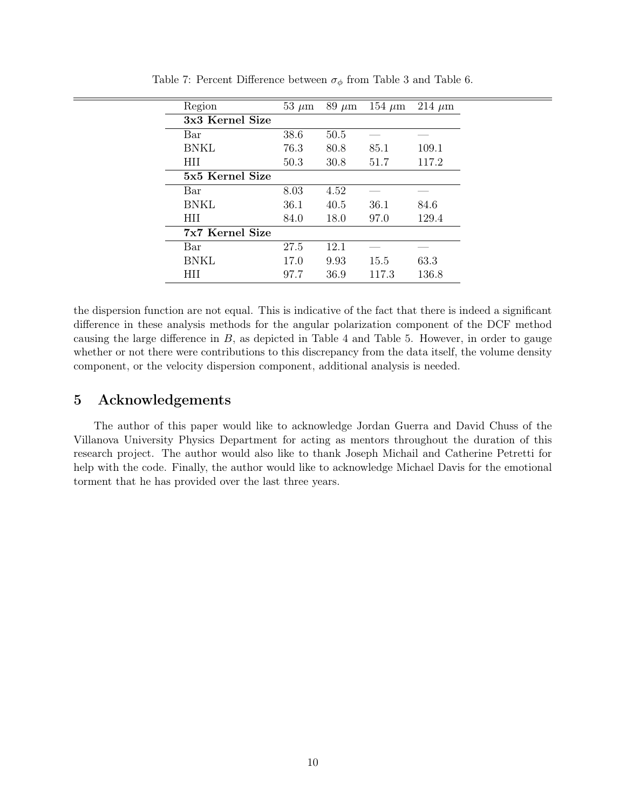| Region          | $53 \mu m$ | $89 \mu m$ | $154 \mu m$ | $214 \mu m$ |
|-----------------|------------|------------|-------------|-------------|
| 3x3 Kernel Size |            |            |             |             |
| Bar             | 38.6       | 50.5       |             |             |
| <b>BNKL</b>     | 76.3       | 80.8       | 85.1        | 109.1       |
| <b>HII</b>      | 50.3       | 30.8       | 51.7        | 117.2       |
| 5x5 Kernel Size |            |            |             |             |
| Bar             | 8.03       | 4.52       |             |             |
| <b>BNKL</b>     | 36.1       | 40.5       | 36.1        | 84.6        |
| <b>HII</b>      | 84.0       | 18.0       | 97.0        | 129.4       |
| 7x7 Kernel Size |            |            |             |             |
| Bar             | 27.5       | 12.1       |             |             |
| <b>BNKL</b>     | 17.0       | 9.93       | 15.5        | 63.3        |
| HП              | 97.7       | 36.9       | 117.3       | 136.8       |

Table 7: Percent Difference between  $\sigma_{\phi}$  from Table 3 and Table 6.

the dispersion function are not equal. This is indicative of the fact that there is indeed a significant difference in these analysis methods for the angular polarization component of the DCF method causing the large difference in  $B$ , as depicted in Table 4 and Table 5. However, in order to gauge whether or not there were contributions to this discrepancy from the data itself, the volume density component, or the velocity dispersion component, additional analysis is needed.

# 5 Acknowledgements

The author of this paper would like to acknowledge Jordan Guerra and David Chuss of the Villanova University Physics Department for acting as mentors throughout the duration of this research project. The author would also like to thank Joseph Michail and Catherine Petretti for help with the code. Finally, the author would like to acknowledge Michael Davis for the emotional torment that he has provided over the last three years.